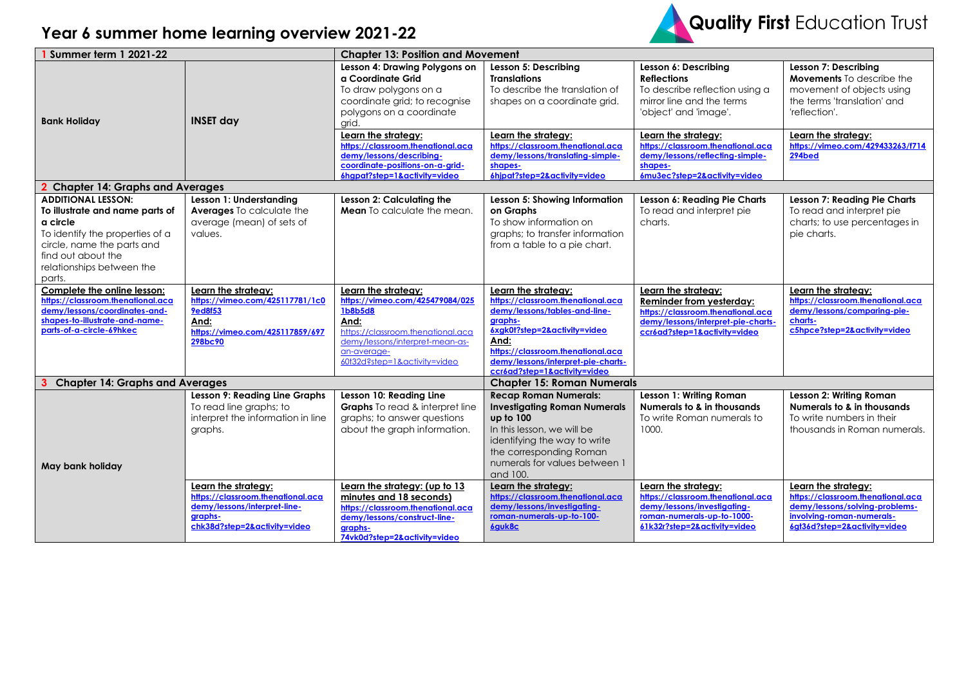

## **Year 6 summer home learning overview 2021-22**

| <b>Summer term 1 2021-22</b>                                                                                                                                                                           |                                                                                                                                     | <b>Chapter 13: Position and Movement</b>                                                                                                                                                         |                                                                                                                                                                                                                                                         |                                                                                                                                                                   |                                                                                                                                                         |
|--------------------------------------------------------------------------------------------------------------------------------------------------------------------------------------------------------|-------------------------------------------------------------------------------------------------------------------------------------|--------------------------------------------------------------------------------------------------------------------------------------------------------------------------------------------------|---------------------------------------------------------------------------------------------------------------------------------------------------------------------------------------------------------------------------------------------------------|-------------------------------------------------------------------------------------------------------------------------------------------------------------------|---------------------------------------------------------------------------------------------------------------------------------------------------------|
| <b>Bank Holiday</b>                                                                                                                                                                                    | <b>INSET day</b>                                                                                                                    | Lesson 4: Drawing Polygons on<br>a Coordinate Grid<br>To draw polygons on a<br>coordinate grid; to recognise<br>polygons on a coordinate<br>arid.                                                | Lesson 5: Describing<br><b>Translations</b><br>To describe the translation of<br>shapes on a coordinate grid.                                                                                                                                           | Lesson 6: Describing<br><b>Reflections</b><br>To describe reflection using a<br>mirror line and the terms<br>'object' and 'image'.                                | Lesson 7: Describing<br><b>Movements</b> To describe the<br>movement of objects using<br>the terms 'translation' and<br>'reflection'.                   |
|                                                                                                                                                                                                        |                                                                                                                                     | Learn the strategy:<br>https://classroom.thenational.aca<br>demy/lessons/describing-<br>coordinate-positions-on-a-grid-<br>6hgpat?step=1&activity=video                                          | Learn the strategy:<br>https://classroom.thenational.aca<br>demy/lessons/translating-simple-<br>shapes-<br>6hipat?step=2&activity=video                                                                                                                 | Learn the strategy:<br>https://classroom.thenational.aca<br>demy/lessons/reflecting-simple-<br>shapes-<br>6mu3ec?step=2&activity=video                            | Learn the strategy:<br>https://vimeo.com/429433263/f714<br>$294$ bed                                                                                    |
| <b>Chapter 14: Graphs and Averages</b>                                                                                                                                                                 |                                                                                                                                     |                                                                                                                                                                                                  |                                                                                                                                                                                                                                                         |                                                                                                                                                                   |                                                                                                                                                         |
| <b>ADDITIONAL LESSON:</b><br>To illustrate and name parts of<br>a circle<br>To identify the properties of a<br>circle, name the parts and<br>find out about the<br>relationships between the<br>parts. | Lesson 1: Understanding<br><b>Averages To calculate the</b><br>average (mean) of sets of<br>values.                                 | Lesson 2: Calculating the<br>Mean To calculate the mean.                                                                                                                                         | Lesson 5: Showing Information<br>on Graphs<br>To show information on<br>graphs; to transfer information<br>from a table to a pie chart.                                                                                                                 | Lesson 6: Reading Pie Charts<br>To read and interpret pie<br>charts.                                                                                              | <b>Lesson 7: Reading Pie Charts</b><br>To read and interpret pie<br>charts; to use percentages in<br>pie charts.                                        |
| Complete the online lesson:<br>https://classroom.thenational.aca<br>demy/lessons/coordinates-and-<br>shapes-to-illustrate-and-name-<br>parts-of-a-circle-69hkec                                        | Learn the strategy:<br>https://vimeo.com/425117781/1c0<br><b>9ed8f53</b><br>And:<br>https://vimeo.com/425117859/697<br>298bc90      | Learn the strategy:<br>https://vimeo.com/425479084/025<br>1b8b5d8<br>And:<br>https://classroom.thenational.aca<br>demy/lessons/interpret-mean-as-<br>an-average-<br>60t32d?step=1&activity=video | Learn the strategy:<br>https://classroom.thenational.aca<br>demy/lessons/tables-and-line-<br>graphs-<br>6xgk0t?step=2&activity=video<br>And:<br>https://classroom.thenational.aca<br>demy/lessons/interpret-pie-charts-<br>ccr6ad?step=1&activity=video | Learn the strategy:<br><b>Reminder from yesterday:</b><br>https://classroom.thenational.aca<br>demy/lessons/interpret-pie-charts-<br>ccr6ad?step=1&activity=video | Learn the strategy:<br>https://classroom.thenational.aca<br>demy/lessons/comparing-pie-<br>charts-<br>c5hpce?step=2&activity=video                      |
| <b>Chapter 14: Graphs and Averages</b>                                                                                                                                                                 |                                                                                                                                     |                                                                                                                                                                                                  | <b>Chapter 15: Roman Numerals</b>                                                                                                                                                                                                                       |                                                                                                                                                                   |                                                                                                                                                         |
| May bank holiday                                                                                                                                                                                       | <b>Lesson 9: Reading Line Graphs</b><br>To read line graphs; to<br>interpret the information in line<br>graphs.                     | Lesson 10: Reading Line<br>Graphs To read & interpret line<br>graphs; to answer questions<br>about the graph information.                                                                        | <b>Recap Roman Numerals:</b><br><b>Investigating Roman Numerals</b><br>up to 100<br>In this lesson, we will be<br>identifying the way to write<br>the corresponding Roman<br>numerals for values between 1<br>and 100.                                  | Lesson 1: Writing Roman<br>Numerals to & in thousands<br>To write Roman numerals to<br>1000.                                                                      | Lesson 2: Writing Roman<br>Numerals to & in thousands<br>To write numbers in their<br>thousands in Roman numerals.                                      |
|                                                                                                                                                                                                        | Learn the strategy:<br>https://classroom.thenational.aca<br>demy/lessons/interpret-line-<br>graphs-<br>chk38d?step=2&activity=video | Learn the strategy: (up to 13<br>minutes and 18 seconds)<br>https://classroom.thenational.aca<br>demy/lessons/construct-line-<br>graphs-<br>74vk0d?step=2&activity=video                         | Learn the strategy:<br>https://classroom.thenational.aca<br>demy/lessons/investigating-<br>roman-numerals-up-to-100-<br>6quk8c                                                                                                                          | Learn the strategy:<br>https://classroom.thenational.aca<br>demy/lessons/investigating-<br>roman-numerals-up-to-1000-<br>61k32r?step=2&activity=video             | Learn the strategy:<br>https://classroom.thenational.aca<br>demy/lessons/solving-problems-<br>involving-roman-numerals-<br>6gt36d?step=2&activity=video |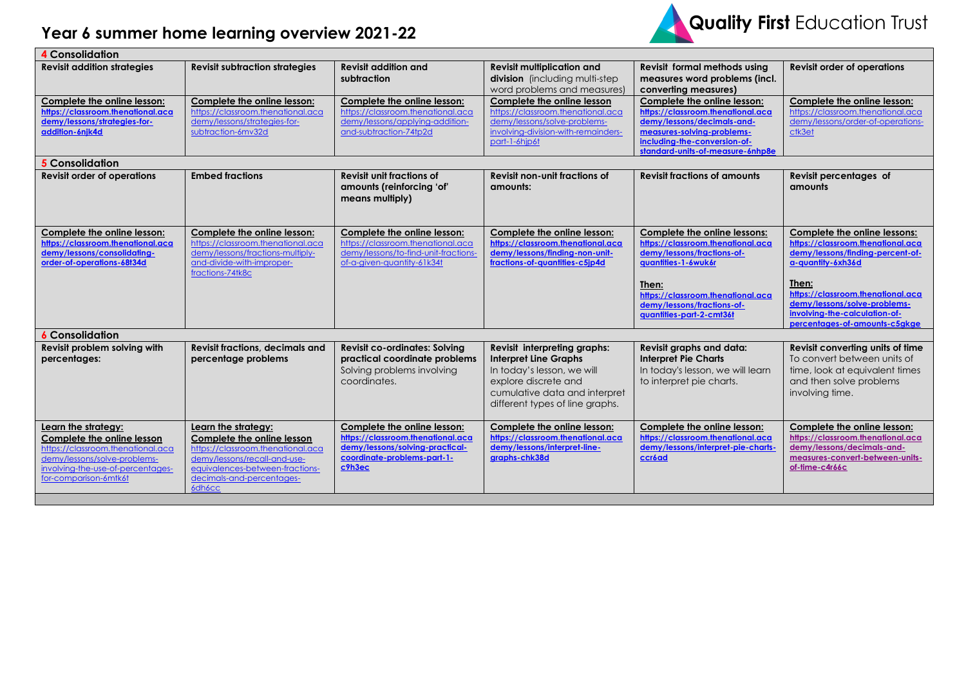## **Year 6 summer home learning overview 2021-22**



| <b>4</b> Consolidation                                                                                                                                                               |                                                                                                                                                                                                  |                                                                                                                                              |                                                                                                                                                                                        |                                                                                                                                                                                                                                |                                                                                                                                                                                                                                           |
|--------------------------------------------------------------------------------------------------------------------------------------------------------------------------------------|--------------------------------------------------------------------------------------------------------------------------------------------------------------------------------------------------|----------------------------------------------------------------------------------------------------------------------------------------------|----------------------------------------------------------------------------------------------------------------------------------------------------------------------------------------|--------------------------------------------------------------------------------------------------------------------------------------------------------------------------------------------------------------------------------|-------------------------------------------------------------------------------------------------------------------------------------------------------------------------------------------------------------------------------------------|
| <b>Revisit addition strategies</b>                                                                                                                                                   | <b>Revisit subtraction strategies</b>                                                                                                                                                            | <b>Revisit addition and</b><br>subtraction                                                                                                   | <b>Revisit multiplication and</b><br>division (including multi-step<br>word problems and measures)                                                                                     | <b>Revisit formal methods using</b><br>measures word problems (incl.<br>converting measures)                                                                                                                                   | <b>Revisit order of operations</b>                                                                                                                                                                                                        |
| Complete the online lesson:<br>https://classroom.thenational.aca<br>demy/lessons/strategies-for-<br>addition-6njk4d                                                                  | Complete the online lesson:<br>https://classroom.thenational.aca<br>demy/lessons/strategies-for-<br>subtraction-6mv32d                                                                           | Complete the online lesson:<br>https://classroom.thenational.aca<br>demy/lessons/applying-addition-<br>and-subtraction-74tp2d                | Complete the online lesson<br>https://classroom.thenational.aca<br>demy/lessons/solve-problems-<br>involving-division-with-remainders-<br>part-1-6hjp6t                                | Complete the online lesson:<br>https://classroom.thenational.aca<br>demy/lessons/decimals-and-<br>measures-solving-problems-<br>including-the-conversion-of-<br>standard-units-of-measure-6nhp8e                               | Complete the online lesson:<br>https://classroom.thenational.aca<br>demy/lessons/order-of-operations-<br>ctk3et                                                                                                                           |
| <b>5</b> Consolidation                                                                                                                                                               |                                                                                                                                                                                                  |                                                                                                                                              |                                                                                                                                                                                        |                                                                                                                                                                                                                                |                                                                                                                                                                                                                                           |
| <b>Revisit order of operations</b>                                                                                                                                                   | <b>Embed fractions</b>                                                                                                                                                                           | <b>Revisit unit fractions of</b><br>amounts (reinforcing 'of'<br>means multiply)                                                             | <b>Revisit non-unit fractions of</b><br>amounts:                                                                                                                                       | <b>Revisit fractions of amounts</b>                                                                                                                                                                                            | Revisit percentages of<br>amounts                                                                                                                                                                                                         |
| Complete the online lesson:<br>https://classroom.thenational.aca<br>demy/lessons/consolidating-<br>order-of-operations-68t34d                                                        | Complete the online lesson:<br>https://classroom.thenational.aca<br>demy/lessons/fractions-multiply-<br>and-divide-with-improper-<br>fractions-74tk8c                                            | Complete the online lesson:<br>https://classroom.thenational.aca<br>demy/lessons/to-find-unit-fractions-<br>of-a-given-quantity-61k34t       | Complete the online lesson:<br>https://classroom.thenational.aca<br>demy/lessons/finding-non-unit-<br>fractions-of-quantities-c5jp4d                                                   | Complete the online lessons:<br>https://classroom.thenational.aca<br>demy/lessons/fractions-of-<br>quantities-1-6wuk6r<br>Then:<br>https://classroom.thenational.aca<br>demy/lessons/fractions-of-<br>quantities-part-2-cmt36t | Complete the online lessons:<br>https://classroom.thenational.aca<br>demy/lessons/finding-percent-of-<br>a-quantity-6xh36d<br>Then:<br>https://classroom.thenational.aca<br>demy/lessons/solve-problems-<br>involving-the-calculation-of- |
| <b>6 Consolidation</b>                                                                                                                                                               |                                                                                                                                                                                                  |                                                                                                                                              |                                                                                                                                                                                        |                                                                                                                                                                                                                                | percentages-of-amounts-c5gkge                                                                                                                                                                                                             |
| Revisit problem solving with<br>percentages:                                                                                                                                         | <b>Revisit fractions, decimals and</b><br>percentage problems                                                                                                                                    | <b>Revisit co-ordinates: Solving</b><br>practical coordinate problems<br>Solving problems involving<br>coordinates.                          | Revisit interpreting graphs:<br><b>Interpret Line Graphs</b><br>In today's lesson, we will<br>explore discrete and<br>cumulative data and interpret<br>different types of line graphs. | Revisit graphs and data:<br><b>Interpret Pie Charts</b><br>In today's lesson, we will learn<br>to interpret pie charts.                                                                                                        | Revisit converting units of time<br>To convert between units of<br>time, look at equivalent times<br>and then solve problems<br>involving time.                                                                                           |
| Learn the strategy:<br>Complete the online lesson<br>https://classroom.thenational.aca<br>demy/lessons/solve-problems-<br>involving-the-use-of-percentages-<br>for-comparison-6mtk6t | Learn the strategy:<br>Complete the online lesson<br>https://classroom.thenational.aca<br>demy/lessons/recall-and-use-<br>equivalences-between-fractions-<br>decimals-and-percentages-<br>6dh6cc | Complete the online lesson:<br>https://classroom.thenational.aca<br>demy/lessons/solving-practical-<br>coordinate-problems-part-1-<br>c9h3ec | Complete the online lesson:<br>https://classroom.thenational.aca<br>demy/lessons/interpret-line-<br>graphs-chk38d                                                                      | Complete the online lesson:<br>https://classroom.thenational.aca<br>demy/lessons/interpret-pie-charts-<br>ccr6ad                                                                                                               | Complete the online lesson:<br>https://classroom.thenational.aca<br>demy/lessons/decimals-and-<br>measures-convert-between-units-<br>of-time-c4r66c                                                                                       |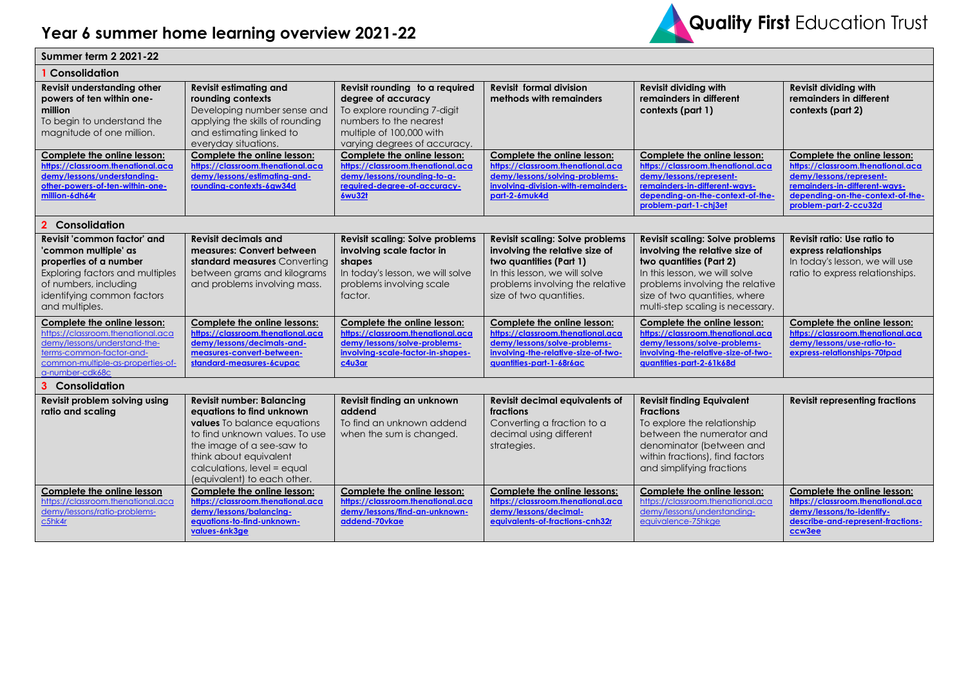

| <b>Summer term 2 2021-22</b>                                                                                                                                                              |                                                                                                                                                                                                                                                     |                                                                                                                                                                           |                                                                                                                                                                                                    |                                                                                                                                                                                                                                              |                                                                                                                                                                                           |  |
|-------------------------------------------------------------------------------------------------------------------------------------------------------------------------------------------|-----------------------------------------------------------------------------------------------------------------------------------------------------------------------------------------------------------------------------------------------------|---------------------------------------------------------------------------------------------------------------------------------------------------------------------------|----------------------------------------------------------------------------------------------------------------------------------------------------------------------------------------------------|----------------------------------------------------------------------------------------------------------------------------------------------------------------------------------------------------------------------------------------------|-------------------------------------------------------------------------------------------------------------------------------------------------------------------------------------------|--|
| Consolidation                                                                                                                                                                             |                                                                                                                                                                                                                                                     |                                                                                                                                                                           |                                                                                                                                                                                                    |                                                                                                                                                                                                                                              |                                                                                                                                                                                           |  |
| <b>Revisit understanding other</b><br>powers of ten within one-<br>million<br>To begin to understand the<br>magnitude of one million.                                                     | <b>Revisit estimating and</b><br>rounding contexts<br>Developing number sense and<br>applying the skills of rounding<br>and estimating linked to<br>everyday situations.                                                                            | Revisit rounding to a required<br>degree of accuracy<br>To explore rounding 7-digit<br>numbers to the nearest<br>multiple of 100,000 with<br>varying degrees of accuracy. | <b>Revisit formal division</b><br>methods with remainders                                                                                                                                          | <b>Revisit dividing with</b><br>remainders in different<br>contexts (part 1)                                                                                                                                                                 | <b>Revisit dividing with</b><br>remainders in different<br>contexts (part 2)                                                                                                              |  |
| Complete the online lesson:<br>https://classroom.thenational.aca<br>demy/lessons/understanding-<br>other-powers-of-ten-within-one-<br>million-6dh64r                                      | Complete the online lesson:<br>https://classroom.thenational.aca<br>demy/lessons/estimating-and-<br>rounding-contexts-6gw34d                                                                                                                        | Complete the online lesson:<br>https://classroom.thenational.aca<br>demy/lessons/rounding-to-g-<br>required-degree-of-accuracy-<br>6wu32t                                 | Complete the online lesson:<br>https://classroom.thenational.aca<br>demy/lessons/solving-problems-<br>involving-division-with-remainders-<br>part-2-6muk4d                                         | Complete the online lesson:<br>https://classroom.thenational.aca<br>demy/lessons/represent-<br>remainders-in-different-ways-<br>depending-on-the-context-of-the-<br>problem-part-1-chj3et                                                    | Complete the online lesson:<br>https://classroom.thenational.aca<br>demy/lessons/represent-<br>remainders-in-different-ways-<br>depending-on-the-context-of-the-<br>problem-part-2-ccu32d |  |
| Consolidation<br>$\mathbf{p}$                                                                                                                                                             |                                                                                                                                                                                                                                                     |                                                                                                                                                                           |                                                                                                                                                                                                    |                                                                                                                                                                                                                                              |                                                                                                                                                                                           |  |
| Revisit 'common factor' and<br>'common multiple' as<br>properties of a number<br>Exploring factors and multiples<br>of numbers, including<br>identifying common factors<br>and multiples. | <b>Revisit decimals and</b><br>measures: Convert between<br>standard measures Converting<br>between grams and kilograms<br>and problems involving mass.                                                                                             | <b>Revisit scaling: Solve problems</b><br>involving scale factor in<br>shapes<br>In today's lesson, we will solve<br>problems involving scale<br>factor.                  | <b>Revisit scaling: Solve problems</b><br>involving the relative size of<br>two quantities (Part 1)<br>In this lesson, we will solve<br>problems involving the relative<br>size of two quantities. | <b>Revisit scaling: Solve problems</b><br>involving the relative size of<br>two quantities (Part 2)<br>In this lesson, we will solve<br>problems involving the relative<br>size of two quantities, where<br>multi-step scaling is necessary. | Revisit ratio: Use ratio to<br>express relationships<br>In today's lesson, we will use<br>ratio to express relationships.                                                                 |  |
| Complete the online lesson:<br>https://classroom.thenational.aca<br>demy/lessons/understand-the-<br>terms-common-factor-and-<br>common-multiple-as-properties-of-<br>a-number-cdk68c      | Complete the online lessons:<br>https://classroom.thenational.aca<br>demy/lessons/decimals-and-<br>measures-convert-between-<br>standard-measures-6cupac                                                                                            | Complete the online lesson:<br>https://classroom.thenational.aca<br>demy/lessons/solve-problems-<br>involving-scale-factor-in-shapes-<br>c4u3ar                           | Complete the online lesson:<br>https://classroom.thenational.aca<br>demy/lessons/solve-problems-<br>involving-the-relative-size-of-two-<br>avantities-part-1-68r6ac                                | Complete the online lesson:<br>https://classroom.thenational.aca<br>demy/lessons/solve-problems-<br>involving-the-relative-size-of-two-<br>guantities-part-2-61k68d                                                                          | Complete the online lesson:<br>https://classroom.thenational.aca<br>demy/lessons/use-ratio-to-<br>express-relationships-70tpad                                                            |  |
| 3 Consolidation                                                                                                                                                                           |                                                                                                                                                                                                                                                     |                                                                                                                                                                           |                                                                                                                                                                                                    |                                                                                                                                                                                                                                              |                                                                                                                                                                                           |  |
| Revisit problem solving using<br>ratio and scaling                                                                                                                                        | <b>Revisit number: Balancing</b><br>equations to find unknown<br>values To balance equations<br>to find unknown values. To use<br>the image of a see-saw to<br>think about equivalent<br>calculations, level = equal<br>(equivalent) to each other. | Revisit finding an unknown<br>addend<br>To find an unknown addend<br>when the sum is changed.                                                                             | <b>Revisit decimal equivalents of</b><br>fractions<br>Converting a fraction to a<br>decimal using different<br>strategies.                                                                         | <b>Revisit finding Equivalent</b><br><b>Fractions</b><br>To explore the relationship<br>between the numerator and<br>denominator (between and<br>within fractions), find factors<br>and simplifying fractions                                | <b>Revisit representing fractions</b>                                                                                                                                                     |  |
| Complete the online lesson<br>https://classroom.thenational.aca<br>demy/lessons/ratio-problems-<br>$c$ 5hk4r                                                                              | Complete the online lesson:<br>https://classroom.thenational.aca<br>demy/lessons/balancing-<br>equations-to-find-unknown-<br>values-6nk3ge                                                                                                          | Complete the online lesson:<br>https://classroom.thenational.aca<br>demy/lessons/find-an-unknown-<br>addend-70vkae                                                        | Complete the online lessons:<br>https://classroom.thenational.aca<br>demy/lessons/decimal-<br>equivalents-of-fractions-cnh32r                                                                      | Complete the online lesson:<br>https://classroom.thenational.aca<br>demy/lessons/understanding-<br>equivalence-75hkge                                                                                                                        | Complete the online lesson:<br>https://classroom.thenational.aca<br>demy/lessons/to-identify-<br>describe-and-represent-fractions-<br>ccw3ee                                              |  |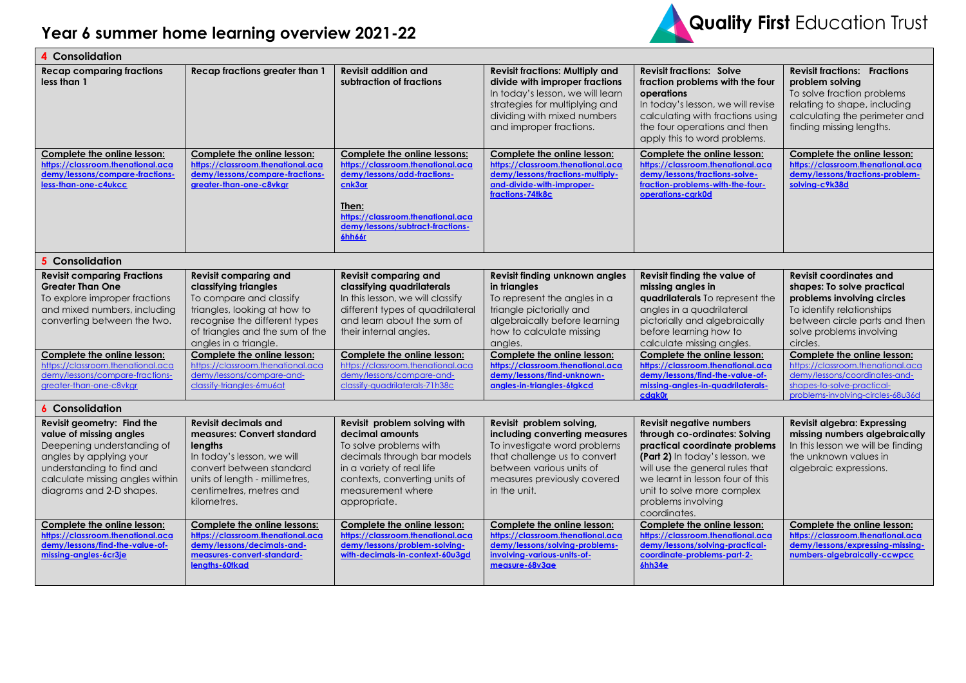

| Consolidation                                                                                                                                                                                              |                                                                                                                                                                                                                   |                                                                                                                                                                                                               |                                                                                                                                                                                                          |                                                                                                                                                                                                                                                                                |                                                                                                                                                                                                  |  |  |
|------------------------------------------------------------------------------------------------------------------------------------------------------------------------------------------------------------|-------------------------------------------------------------------------------------------------------------------------------------------------------------------------------------------------------------------|---------------------------------------------------------------------------------------------------------------------------------------------------------------------------------------------------------------|----------------------------------------------------------------------------------------------------------------------------------------------------------------------------------------------------------|--------------------------------------------------------------------------------------------------------------------------------------------------------------------------------------------------------------------------------------------------------------------------------|--------------------------------------------------------------------------------------------------------------------------------------------------------------------------------------------------|--|--|
| <b>Recap comparing fractions</b><br>less than 1                                                                                                                                                            | <b>Recap fractions greater than 1</b>                                                                                                                                                                             | <b>Revisit addition and</b><br>subtraction of fractions                                                                                                                                                       | <b>Revisit fractions: Multiply and</b><br>divide with improper fractions<br>In today's lesson, we will learn<br>strategies for multiplying and<br>dividing with mixed numbers<br>and improper fractions. | <b>Revisit fractions: Solve</b><br>fraction problems with the four<br>operations<br>In today's lesson, we will revise<br>calculating with fractions using<br>the four operations and then<br>apply this to word problems.                                                      | <b>Revisit fractions: Fractions</b><br>problem solving<br>To solve fraction problems<br>relating to shape, including<br>calculating the perimeter and<br>finding missing lengths.                |  |  |
| Complete the online lesson:<br>https://classroom.thenational.aca<br>demy/lessons/compare-fractions-<br>less-than-one-c4ukcc                                                                                | Complete the online lesson:<br>https://classroom.thenational.aca<br>demy/lessons/compare-fractions-<br>greater-than-one-c8vkgr                                                                                    | <b>Complete the online lessons:</b><br>https://classroom.thenational.aca<br>demy/lessons/add-fractions-<br>cnk3ar<br>Then:<br>https://classroom.thenational.aca<br>demy/lessons/subtract-fractions-<br>6hh66r | Complete the online lesson:<br>https://classroom.thenational.aca<br>demy/lessons/fractions-multiply-<br>and-divide-with-improper-<br>fractions-74tk8c                                                    | Complete the online lesson:<br>https://classroom.thenational.aca<br>demy/lessons/fractions-solve-<br>fraction-problems-with-the-four-<br>operations-cark0d                                                                                                                     | Complete the online lesson:<br>https://classroom.thenational.aca<br>demy/lessons/fractions-problem-<br>solving-c9k38d                                                                            |  |  |
| <b>5</b> Consolidation                                                                                                                                                                                     |                                                                                                                                                                                                                   |                                                                                                                                                                                                               |                                                                                                                                                                                                          |                                                                                                                                                                                                                                                                                |                                                                                                                                                                                                  |  |  |
| <b>Revisit comparing Fractions</b><br><b>Greater Than One</b><br>To explore improper fractions<br>and mixed numbers, including<br>converting between the two.                                              | <b>Revisit comparing and</b><br>classifying triangles<br>To compare and classify<br>triangles, looking at how to<br>recognise the different types<br>of triangles and the sum of the<br>angles in a triangle.     | <b>Revisit comparing and</b><br>classifying quadrilaterals<br>In this lesson, we will classify<br>different types of quadrilateral<br>and learn about the sum of<br>their internal angles.                    | Revisit finding unknown angles<br>in triangles<br>To represent the angles in a<br>triangle pictorially and<br>algebraically before learning<br>how to calculate missing<br>angles.                       | Revisit finding the value of<br>missing angles in<br>quadrilaterals To represent the<br>angles in a quadrilateral<br>pictorially and algebraically<br>before learning how to<br>calculate missing angles.                                                                      | <b>Revisit coordinates and</b><br>shapes: To solve practical<br>problems involving circles<br>To identify relationships<br>between circle parts and then<br>solve problems involving<br>circles. |  |  |
| Complete the online lesson:<br>https://classroom.thenational.aca<br>demy/lessons/compare-fractions-<br>greater-than-one-c8vkgr                                                                             | Complete the online lesson:<br>https://classroom.thenational.aca<br>demy/lessons/compare-and-<br>classify-triangles-6mu6at                                                                                        | Complete the online lesson:<br>https://classroom.thenational.aca<br>demy/lessons/compare-and-<br>classify-quadrilaterals-71h38c                                                                               | Complete the online lesson:<br>https://classroom.thenational.aca<br>demy/lessons/find-unknown-<br>angles-in-triangles-6tgkcd                                                                             | Complete the online lesson:<br>https://classroom.thenational.aca<br>demy/lessons/find-the-value-of-<br>missing-angles-in-quadrilaterals-<br>cdak0r                                                                                                                             | Complete the online lesson:<br>https://classroom.thenational.aca<br>demy/lessons/coordinates-and-<br>shapes-to-solve-practical-<br>problems-involving-circles-68u36d                             |  |  |
| <b>6</b> Consolidation                                                                                                                                                                                     |                                                                                                                                                                                                                   |                                                                                                                                                                                                               |                                                                                                                                                                                                          |                                                                                                                                                                                                                                                                                |                                                                                                                                                                                                  |  |  |
| Revisit geometry: Find the<br>value of missing angles<br>Deepening understanding of<br>angles by applying your<br>understanding to find and<br>calculate missing angles within<br>diagrams and 2-D shapes. | <b>Revisit decimals and</b><br>measures: Convert standard<br><b>lengths</b><br>In today's lesson, we will<br>convert between standard<br>units of length - millimetres,<br>centimetres, metres and<br>kilometres. | Revisit problem solving with<br>decimal amounts<br>To solve problems with<br>decimals through bar models<br>in a variety of real life<br>contexts, converting units of<br>measurement where<br>appropriate.   | Revisit problem solving,<br>including converting measures<br>To investigate word problems<br>that challenge us to convert<br>between various units of<br>measures previously covered<br>in the unit.     | <b>Revisit negative numbers</b><br>through co-ordinates: Solving<br>practical coordinate problems<br>(Part 2) In today's lesson, we<br>will use the general rules that<br>we learnt in lesson four of this<br>unit to solve more complex<br>problems involving<br>coordinates. | Revisit algebra: Expressing<br>missing numbers algebraically<br>In this lesson we will be finding<br>the unknown values in<br>algebraic expressions.                                             |  |  |
| Complete the online lesson:<br>https://classroom.thenational.aca<br>demy/lessons/find-the-value-of-<br>missing-angles-6cr3ie                                                                               | <b>Complete the online lessons:</b><br>https://classroom.thenational.aca<br>demy/lessons/decimals-and-<br>measures-convert-standard-<br>lengths-60tkad                                                            | Complete the online lesson:<br>https://classroom.thenational.aca<br>demy/lessons/problem-solving-<br>with-decimals-in-context-60u3ad                                                                          | Complete the online lesson:<br>https://classroom.thenational.aca<br>demy/lessons/solving-problems-<br>involvina-various-units-of-<br>measure-68v3ae                                                      | Complete the online lesson:<br>https://classroom.thenational.aca<br>demy/lessons/solving-practical-<br>coordinate-problems-part-2-<br>6hh34e                                                                                                                                   | Complete the online lesson:<br>https://classroom.thenational.aca<br>demy/lessons/expressing-missing-<br>numbers-algebraically-ccwpcc                                                             |  |  |